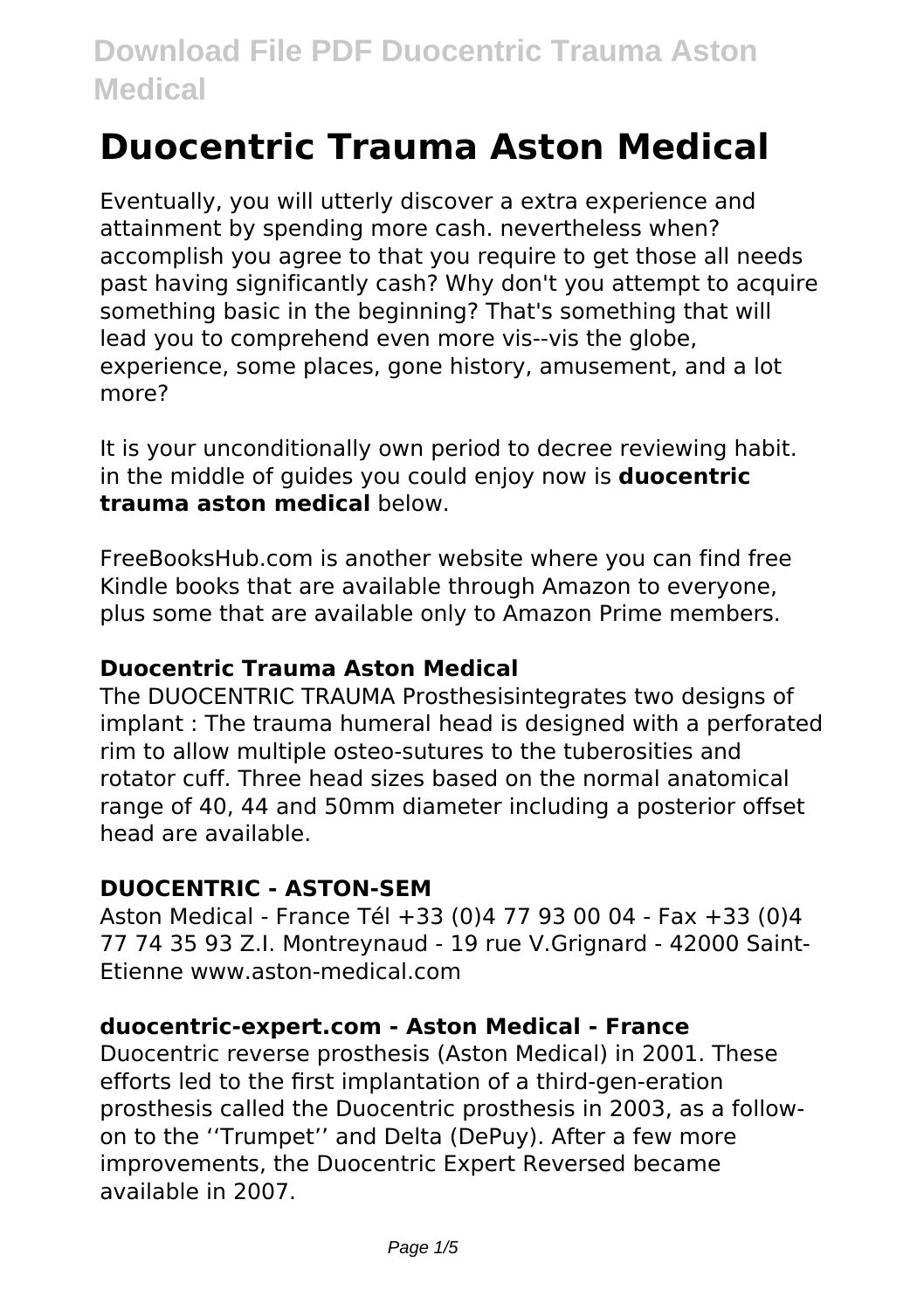# **Duocentric Trauma Aston Medical**

Eventually, you will utterly discover a extra experience and attainment by spending more cash. nevertheless when? accomplish you agree to that you require to get those all needs past having significantly cash? Why don't you attempt to acquire something basic in the beginning? That's something that will lead you to comprehend even more vis--vis the globe, experience, some places, gone history, amusement, and a lot more?

It is your unconditionally own period to decree reviewing habit. in the middle of guides you could enjoy now is **duocentric trauma aston medical** below.

FreeBooksHub.com is another website where you can find free Kindle books that are available through Amazon to everyone, plus some that are available only to Amazon Prime members.

#### **Duocentric Trauma Aston Medical**

The DUOCENTRIC TRAUMA Prosthesisintegrates two designs of implant : The trauma humeral head is designed with a perforated rim to allow multiple osteo-sutures to the tuberosities and rotator cuff. Three head sizes based on the normal anatomical range of 40, 44 and 50mm diameter including a posterior offset head are available.

#### **DUOCENTRIC - ASTON-SEM**

Aston Medical - France Tél +33 (0)4 77 93 00 04 - Fax +33 (0)4 77 74 35 93 Z.I. Montreynaud - 19 rue V.Grignard - 42000 Saint-Etienne www.aston-medical.com

#### **duocentric-expert.com - Aston Medical - France**

Duocentric reverse prosthesis (Aston Medical) in 2001. These efforts led to the first implantation of a third-gen-eration prosthesis called the Duocentric prosthesis in 2003, as a followon to the ''Trumpet'' and Delta (DePuy). After a few more improvements, the Duocentric Expert Reversed became available in 2007.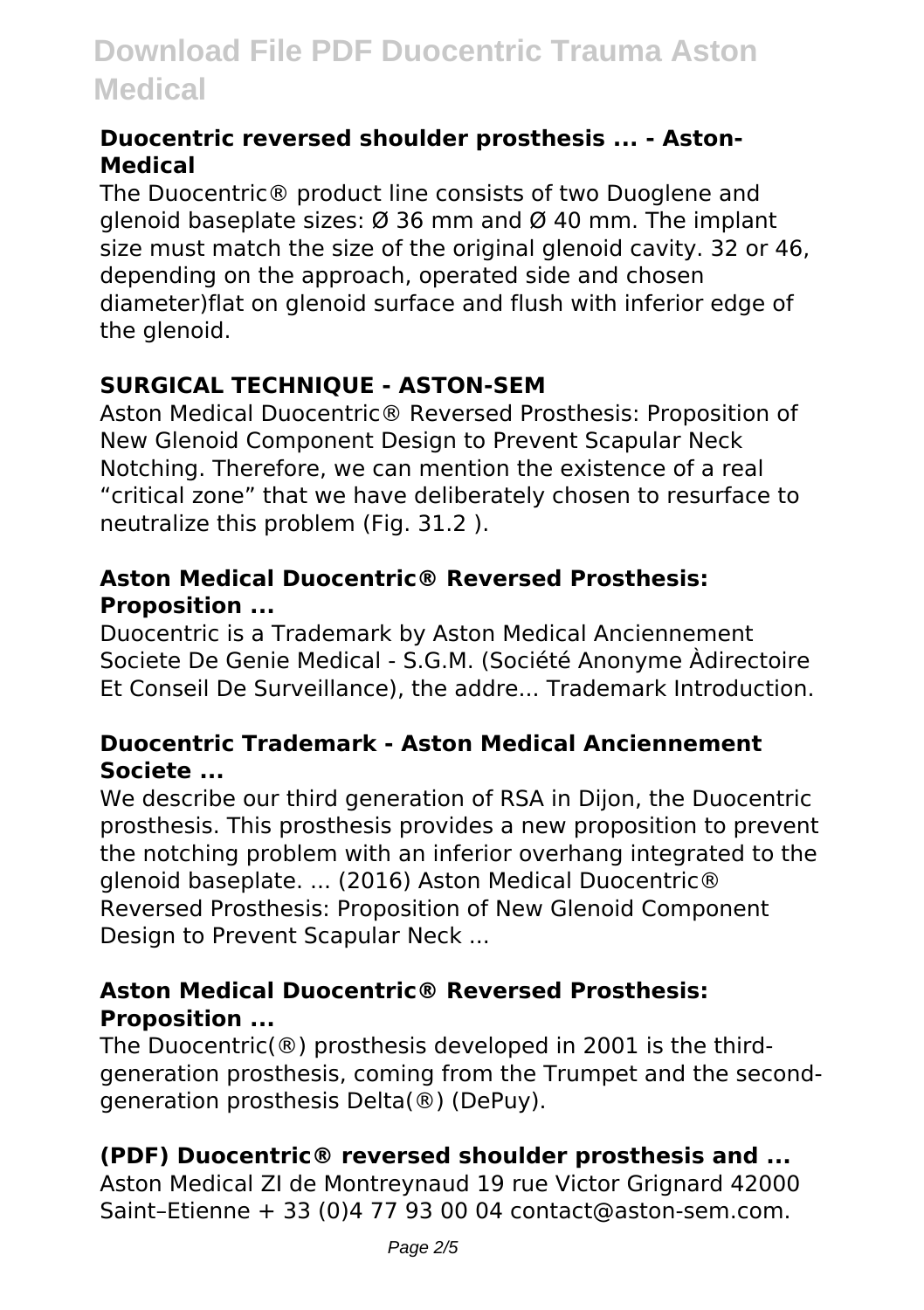#### **Duocentric reversed shoulder prosthesis ... - Aston-Medical**

The Duocentric® product line consists of two Duoglene and glenoid baseplate sizes:  $\varnothing$  36 mm and  $\varnothing$  40 mm. The implant size must match the size of the original glenoid cavity. 32 or 46, depending on the approach, operated side and chosen diameter)flat on glenoid surface and flush with inferior edge of the glenoid.

### **SURGICAL TECHNIQUE - ASTON-SEM**

Aston Medical Duocentric® Reversed Prosthesis: Proposition of New Glenoid Component Design to Prevent Scapular Neck Notching. Therefore, we can mention the existence of a real "critical zone" that we have deliberately chosen to resurface to neutralize this problem (Fig. 31.2 ).

### **Aston Medical Duocentric® Reversed Prosthesis: Proposition ...**

Duocentric is a Trademark by Aston Medical Anciennement Societe De Genie Medical - S.G.M. (Société Anonyme Àdirectoire Et Conseil De Surveillance), the addre... Trademark Introduction.

### **Duocentric Trademark - Aston Medical Anciennement Societe ...**

We describe our third generation of RSA in Dijon, the Duocentric prosthesis. This prosthesis provides a new proposition to prevent the notching problem with an inferior overhang integrated to the glenoid baseplate. ... (2016) Aston Medical Duocentric® Reversed Prosthesis: Proposition of New Glenoid Component Design to Prevent Scapular Neck ...

### **Aston Medical Duocentric® Reversed Prosthesis: Proposition ...**

The Duocentric(®) prosthesis developed in 2001 is the thirdgeneration prosthesis, coming from the Trumpet and the secondgeneration prosthesis Delta(®) (DePuy).

### **(PDF) Duocentric® reversed shoulder prosthesis and ...**

Aston Medical ZI de Montreynaud 19 rue Victor Grignard 42000 Saint–Etienne + 33 (0)4 77 93 00 04 contact@aston-sem.com.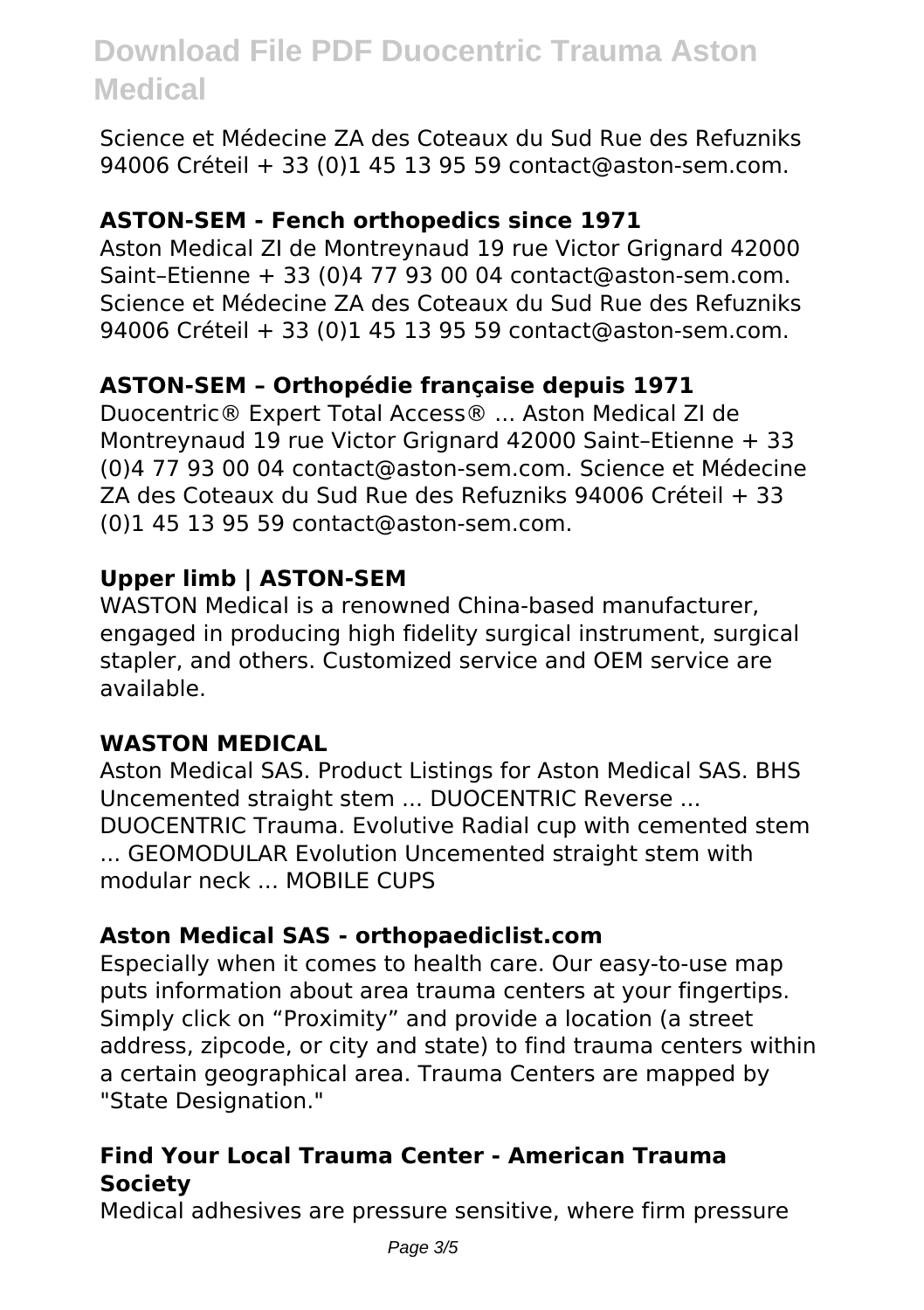Science et Médecine ZA des Coteaux du Sud Rue des Refuzniks 94006 Créteil + 33 (0)1 45 13 95 59 contact@aston-sem.com.

#### **ASTON-SEM - Fench orthopedics since 1971**

Aston Medical ZI de Montreynaud 19 rue Victor Grignard 42000 Saint–Etienne + 33 (0)4 77 93 00 04 contact@aston-sem.com. Science et Médecine ZA des Coteaux du Sud Rue des Refuzniks 94006 Créteil + 33 (0)1 45 13 95 59 contact@aston-sem.com.

#### **ASTON-SEM – Orthopédie française depuis 1971**

Duocentric® Expert Total Access® ... Aston Medical ZI de Montreynaud 19 rue Victor Grignard 42000 Saint–Etienne + 33 (0)4 77 93 00 04 contact@aston-sem.com. Science et Médecine ZA des Coteaux du Sud Rue des Refuzniks 94006 Créteil + 33 (0)1 45 13 95 59 contact@aston-sem.com.

#### **Upper limb | ASTON-SEM**

WASTON Medical is a renowned China-based manufacturer, engaged in producing high fidelity surgical instrument, surgical stapler, and others. Customized service and OEM service are available.

#### **WASTON MEDICAL**

Aston Medical SAS. Product Listings for Aston Medical SAS. BHS Uncemented straight stem ... DUOCENTRIC Reverse ... DUOCENTRIC Trauma. Evolutive Radial cup with cemented stem ... GEOMODULAR Evolution Uncemented straight stem with modular neck ... MOBILE CUPS

#### **Aston Medical SAS - orthopaediclist.com**

Especially when it comes to health care. Our easy-to-use map puts information about area trauma centers at your fingertips. Simply click on "Proximity" and provide a location (a street address, zipcode, or city and state) to find trauma centers within a certain geographical area. Trauma Centers are mapped by "State Designation."

### **Find Your Local Trauma Center - American Trauma Society**

Medical adhesives are pressure sensitive, where firm pressure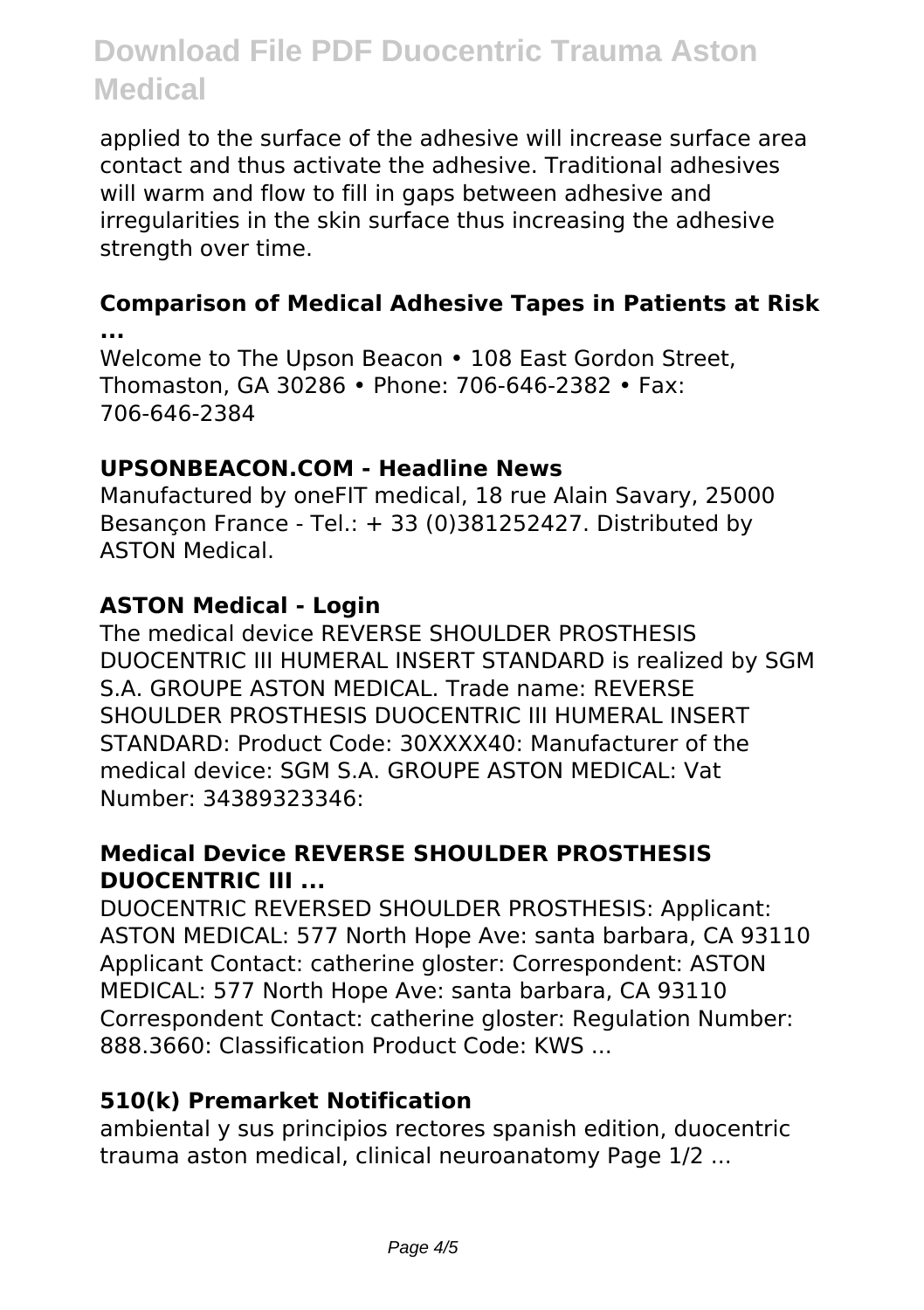applied to the surface of the adhesive will increase surface area contact and thus activate the adhesive. Traditional adhesives will warm and flow to fill in gaps between adhesive and irregularities in the skin surface thus increasing the adhesive strength over time.

#### **Comparison of Medical Adhesive Tapes in Patients at Risk ...**

Welcome to The Upson Beacon • 108 East Gordon Street, Thomaston, GA 30286 • Phone: 706-646-2382 • Fax: 706-646-2384

#### **UPSONBEACON.COM - Headline News**

Manufactured by oneFIT medical, 18 rue Alain Savary, 25000 Besançon France - Tel.: + 33 (0)381252427. Distributed by ASTON Medical.

#### **ASTON Medical - Login**

The medical device REVERSE SHOULDER PROSTHESIS DUOCENTRIC III HUMERAL INSERT STANDARD is realized by SGM S.A. GROUPE ASTON MEDICAL. Trade name: REVERSE SHOULDER PROSTHESIS DUOCENTRIC III HUMERAL INSERT STANDARD: Product Code: 30XXXX40: Manufacturer of the medical device: SGM S.A. GROUPE ASTON MEDICAL: Vat Number: 34389323346:

#### **Medical Device REVERSE SHOULDER PROSTHESIS DUOCENTRIC III ...**

DUOCENTRIC REVERSED SHOULDER PROSTHESIS: Applicant: ASTON MEDICAL: 577 North Hope Ave: santa barbara, CA 93110 Applicant Contact: catherine gloster: Correspondent: ASTON MEDICAL: 577 North Hope Ave: santa barbara, CA 93110 Correspondent Contact: catherine gloster: Regulation Number: 888.3660: Classification Product Code: KWS ...

#### **510(k) Premarket Notification**

ambiental y sus principios rectores spanish edition, duocentric trauma aston medical, clinical neuroanatomy Page 1/2 ...